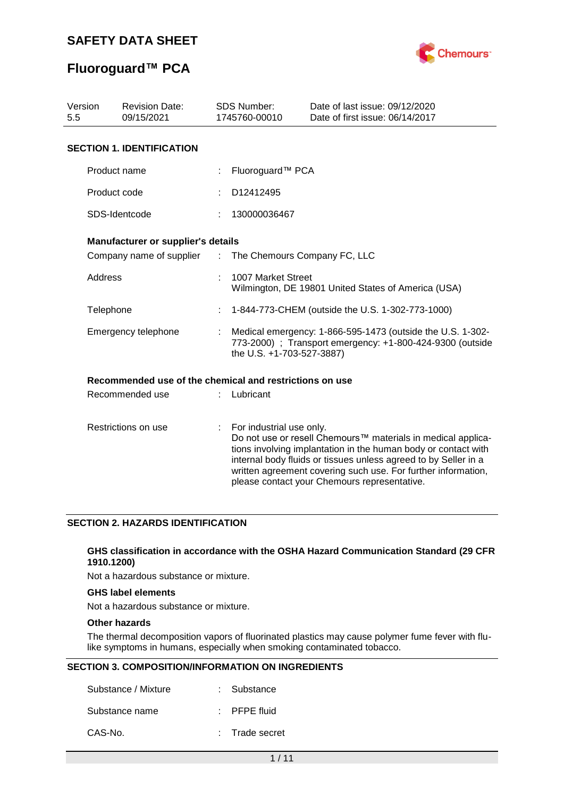

## **Fluoroguard™ PCA**

| Version<br><b>Revision Date:</b><br>5.5<br>09/15/2021 |                                                         |    | <b>SDS Number:</b><br>1745760-00010                                                                                                                  | Date of last issue: 09/12/2020<br>Date of first issue: 06/14/2017                                                                                                                                                                                                                                                  |  |  |  |  |
|-------------------------------------------------------|---------------------------------------------------------|----|------------------------------------------------------------------------------------------------------------------------------------------------------|--------------------------------------------------------------------------------------------------------------------------------------------------------------------------------------------------------------------------------------------------------------------------------------------------------------------|--|--|--|--|
|                                                       | <b>SECTION 1. IDENTIFICATION</b>                        |    |                                                                                                                                                      |                                                                                                                                                                                                                                                                                                                    |  |  |  |  |
|                                                       | Product name                                            |    | Fluoroguard™ PCA                                                                                                                                     |                                                                                                                                                                                                                                                                                                                    |  |  |  |  |
|                                                       | Product code                                            |    | D12412495                                                                                                                                            |                                                                                                                                                                                                                                                                                                                    |  |  |  |  |
|                                                       | SDS-Identcode                                           |    | 130000036467                                                                                                                                         |                                                                                                                                                                                                                                                                                                                    |  |  |  |  |
|                                                       | Manufacturer or supplier's details                      |    |                                                                                                                                                      |                                                                                                                                                                                                                                                                                                                    |  |  |  |  |
|                                                       | Company name of supplier                                |    | The Chemours Company FC, LLC<br>÷.                                                                                                                   |                                                                                                                                                                                                                                                                                                                    |  |  |  |  |
| Address                                               |                                                         |    | 1007 Market Street<br>Wilmington, DE 19801 United States of America (USA)                                                                            |                                                                                                                                                                                                                                                                                                                    |  |  |  |  |
| Telephone                                             |                                                         |    | 1-844-773-CHEM (outside the U.S. 1-302-773-1000)                                                                                                     |                                                                                                                                                                                                                                                                                                                    |  |  |  |  |
|                                                       | Emergency telephone                                     |    | Medical emergency: 1-866-595-1473 (outside the U.S. 1-302-<br>773-2000) ; Transport emergency: +1-800-424-9300 (outside<br>the U.S. +1-703-527-3887) |                                                                                                                                                                                                                                                                                                                    |  |  |  |  |
|                                                       | Recommended use of the chemical and restrictions on use |    |                                                                                                                                                      |                                                                                                                                                                                                                                                                                                                    |  |  |  |  |
|                                                       | Recommended use                                         |    | Lubricant                                                                                                                                            |                                                                                                                                                                                                                                                                                                                    |  |  |  |  |
| Restrictions on use                                   |                                                         | ÷. | For industrial use only.                                                                                                                             | Do not use or resell Chemours™ materials in medical applica-<br>tions involving implantation in the human body or contact with<br>internal body fluids or tissues unless agreed to by Seller in a<br>written agreement covering such use. For further information,<br>please contact your Chemours representative. |  |  |  |  |

#### **SECTION 2. HAZARDS IDENTIFICATION**

#### **GHS classification in accordance with the OSHA Hazard Communication Standard (29 CFR 1910.1200)**

Not a hazardous substance or mixture.

### **GHS label elements**

Not a hazardous substance or mixture.

#### **Other hazards**

The thermal decomposition vapors of fluorinated plastics may cause polymer fume fever with flulike symptoms in humans, especially when smoking contaminated tobacco.

#### **SECTION 3. COMPOSITION/INFORMATION ON INGREDIENTS**

| Substance / Mixture | : Substance             |
|---------------------|-------------------------|
| Substance name      | $\therefore$ PFPE fluid |
| CAS-No.             | : Trade secret          |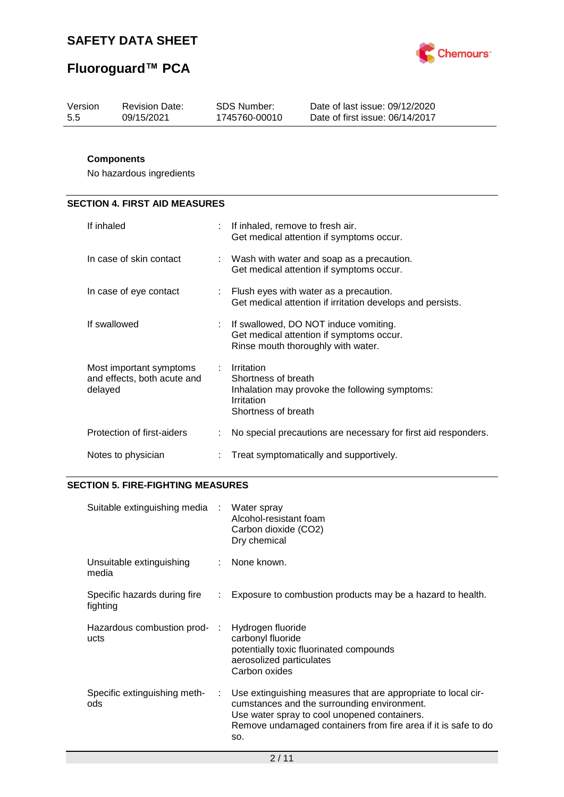

# **Fluoroguard™ PCA**

| Version | <b>Revision Date:</b> | SDS Number:   | Date of last issue: 09/12/2020  |
|---------|-----------------------|---------------|---------------------------------|
| -5.5    | 09/15/2021            | 1745760-00010 | Date of first issue: 06/14/2017 |
|         |                       |               |                                 |

### **Components**

No hazardous ingredients

### **SECTION 4. FIRST AID MEASURES**

| If inhaled                                                        | If inhaled, remove to fresh air.<br>Get medical attention if symptoms occur.                                              |
|-------------------------------------------------------------------|---------------------------------------------------------------------------------------------------------------------------|
| In case of skin contact                                           | $\therefore$ Wash with water and soap as a precaution.<br>Get medical attention if symptoms occur.                        |
| In case of eye contact                                            | Flush eyes with water as a precaution.<br>Get medical attention if irritation develops and persists.                      |
| If swallowed                                                      | : If swallowed, DO NOT induce vomiting.<br>Get medical attention if symptoms occur.<br>Rinse mouth thoroughly with water. |
| Most important symptoms<br>and effects, both acute and<br>delayed | Irritation<br>Shortness of breath<br>Inhalation may provoke the following symptoms:<br>Irritation<br>Shortness of breath  |
| Protection of first-aiders                                        | No special precautions are necessary for first aid responders.                                                            |
| Notes to physician                                                | Treat symptomatically and supportively.                                                                                   |

### **SECTION 5. FIRE-FIGHTING MEASURES**

| Suitable extinguishing media :           |    | Water spray<br>Alcohol-resistant foam<br>Carbon dioxide (CO2)<br>Dry chemical                                                                                                                                                         |
|------------------------------------------|----|---------------------------------------------------------------------------------------------------------------------------------------------------------------------------------------------------------------------------------------|
| Unsuitable extinguishing<br>media        |    | None known.                                                                                                                                                                                                                           |
| Specific hazards during fire<br>fighting |    | Exposure to combustion products may be a hazard to health.                                                                                                                                                                            |
| Hazardous combustion prod-:<br>ucts      |    | Hydrogen fluoride<br>carbonyl fluoride<br>potentially toxic fluorinated compounds<br>aerosolized particulates<br>Carbon oxides                                                                                                        |
| Specific extinguishing meth-<br>ods      | ÷. | Use extinguishing measures that are appropriate to local cir-<br>cumstances and the surrounding environment.<br>Use water spray to cool unopened containers.<br>Remove undamaged containers from fire area if it is safe to do<br>SO. |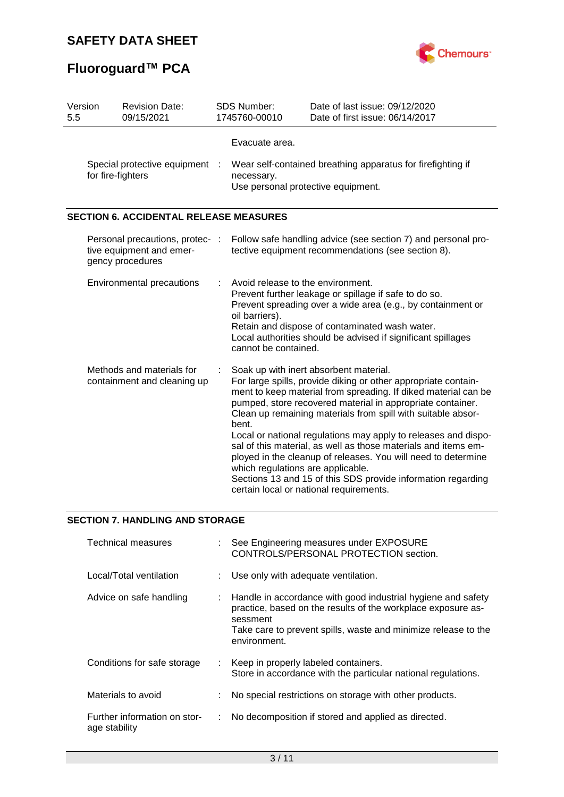# **Fluoroguard™ PCA**



| Version<br>5.5 | <b>Revision Date:</b><br>09/15/2021                                             | <b>SDS Number:</b><br>1745760-00010                                                                                                                                                                                                                                                                                   | Date of last issue: 09/12/2020<br>Date of first issue: 06/14/2017                                                                                                                                                                                                                                                                                                                                                                                                                                                                                                                                                        |  |
|----------------|---------------------------------------------------------------------------------|-----------------------------------------------------------------------------------------------------------------------------------------------------------------------------------------------------------------------------------------------------------------------------------------------------------------------|--------------------------------------------------------------------------------------------------------------------------------------------------------------------------------------------------------------------------------------------------------------------------------------------------------------------------------------------------------------------------------------------------------------------------------------------------------------------------------------------------------------------------------------------------------------------------------------------------------------------------|--|
|                | Special protective equipment<br>for fire-fighters                               | Evacuate area.<br>Wear self-contained breathing apparatus for firefighting if<br>necessary.<br>Use personal protective equipment.                                                                                                                                                                                     |                                                                                                                                                                                                                                                                                                                                                                                                                                                                                                                                                                                                                          |  |
|                | <b>SECTION 6. ACCIDENTAL RELEASE MEASURES</b>                                   |                                                                                                                                                                                                                                                                                                                       |                                                                                                                                                                                                                                                                                                                                                                                                                                                                                                                                                                                                                          |  |
|                | Personal precautions, protec- :<br>tive equipment and emer-<br>gency procedures |                                                                                                                                                                                                                                                                                                                       | Follow safe handling advice (see section 7) and personal pro-<br>tective equipment recommendations (see section 8).                                                                                                                                                                                                                                                                                                                                                                                                                                                                                                      |  |
|                | <b>Environmental precautions</b>                                                | Avoid release to the environment.<br>Prevent further leakage or spillage if safe to do so.<br>Prevent spreading over a wide area (e.g., by containment or<br>oil barriers).<br>Retain and dispose of contaminated wash water.<br>Local authorities should be advised if significant spillages<br>cannot be contained. |                                                                                                                                                                                                                                                                                                                                                                                                                                                                                                                                                                                                                          |  |
|                | Methods and materials for<br>containment and cleaning up                        | bent.<br>which regulations are applicable.                                                                                                                                                                                                                                                                            | Soak up with inert absorbent material.<br>For large spills, provide diking or other appropriate contain-<br>ment to keep material from spreading. If diked material can be<br>pumped, store recovered material in appropriate container.<br>Clean up remaining materials from spill with suitable absor-<br>Local or national regulations may apply to releases and dispo-<br>sal of this material, as well as those materials and items em-<br>ployed in the cleanup of releases. You will need to determine<br>Sections 13 and 15 of this SDS provide information regarding<br>certain local or national requirements. |  |

## **SECTION 7. HANDLING AND STORAGE**

| Technical measures                            |    | : See Engineering measures under EXPOSURE<br>CONTROLS/PERSONAL PROTECTION section.                                                                                                                                         |
|-----------------------------------------------|----|----------------------------------------------------------------------------------------------------------------------------------------------------------------------------------------------------------------------------|
| Local/Total ventilation                       |    | Use only with adequate ventilation.                                                                                                                                                                                        |
| Advice on safe handling                       |    | Handle in accordance with good industrial hygiene and safety<br>practice, based on the results of the workplace exposure as-<br>sessment<br>Take care to prevent spills, waste and minimize release to the<br>environment. |
| Conditions for safe storage                   |    | : Keep in properly labeled containers.<br>Store in accordance with the particular national regulations.                                                                                                                    |
| Materials to avoid                            | ÷. | No special restrictions on storage with other products.                                                                                                                                                                    |
| Further information on stor-<br>age stability |    | No decomposition if stored and applied as directed.                                                                                                                                                                        |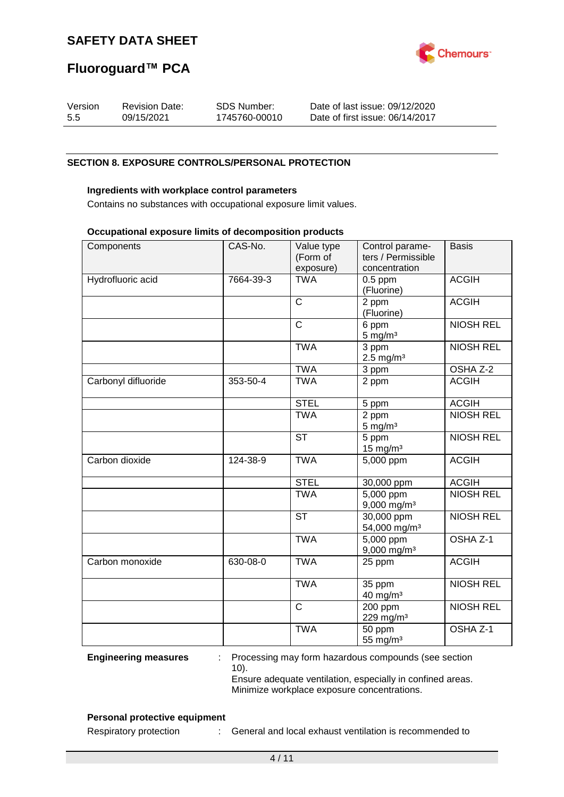

## **Fluoroguard™ PCA**

| Version | <b>Revision Date:</b> | SDS Number:   | Date of last issue: 09/12/2020  |
|---------|-----------------------|---------------|---------------------------------|
| 5.5     | 09/15/2021            | 1745760-00010 | Date of first issue: 06/14/2017 |

#### **SECTION 8. EXPOSURE CONTROLS/PERSONAL PROTECTION**

#### **Ingredients with workplace control parameters**

Contains no substances with occupational exposure limit values.

#### **Occupational exposure limits of decomposition products**

| exposure)<br>concentration<br><b>TWA</b><br><b>ACGIH</b><br>Hydrofluoric acid<br>7664-39-3<br>$0.5$ ppm<br>(Fluorine)<br>$\overline{\text{c}}$<br><b>ACGIH</b><br>2 ppm<br>(Fluorine)<br>$\overline{\text{c}}$<br><b>NIOSH REL</b><br>6 ppm<br>$5 \text{ mg/m}^3$<br><b>TWA</b><br><b>NIOSH REL</b><br>3 ppm<br>$2.5$ mg/m <sup>3</sup><br>3 ppm<br>OSHA Z-2<br><b>TWA</b><br><b>ACGIH</b><br><b>TWA</b><br>Carbonyl difluoride<br>353-50-4<br>2 ppm<br><b>STEL</b><br><b>ACGIH</b><br>5 ppm<br><b>NIOSH REL</b><br>2 ppm<br><b>TWA</b><br>$5 \text{ mg/m}^3$<br><b>NIOSH REL</b><br><b>ST</b><br>5 ppm<br>15 mg/m $3$<br>Carbon dioxide<br><b>ACGIH</b><br><b>TWA</b><br>5,000 ppm<br>124-38-9<br><b>STEL</b><br><b>ACGIH</b><br>30,000 ppm<br><b>NIOSH REL</b><br><b>TWA</b><br>5,000 ppm<br>$9,000$ mg/m <sup>3</sup><br><b>ST</b><br>$30,000$ ppm<br><b>NIOSH REL</b><br>54,000 mg/m <sup>3</sup><br><b>TWA</b><br>OSHA Z-1<br>5,000 ppm<br>$9,000$ mg/m <sup>3</sup><br><b>ACGIH</b><br>Carbon monoxide<br>630-08-0<br><b>TWA</b><br>25 ppm<br><b>TWA</b><br><b>NIOSH REL</b><br>35 ppm<br>40 mg/m <sup>3</sup><br>$\mathsf{C}$<br><b>NIOSH REL</b><br>200 ppm<br>229 mg/m <sup>3</sup><br>OSHA <sub>Z-1</sub><br><b>TWA</b><br>50 ppm | Components | CAS-No. | Value type | Control parame-    | <b>Basis</b> |
|---------------------------------------------------------------------------------------------------------------------------------------------------------------------------------------------------------------------------------------------------------------------------------------------------------------------------------------------------------------------------------------------------------------------------------------------------------------------------------------------------------------------------------------------------------------------------------------------------------------------------------------------------------------------------------------------------------------------------------------------------------------------------------------------------------------------------------------------------------------------------------------------------------------------------------------------------------------------------------------------------------------------------------------------------------------------------------------------------------------------------------------------------------------------------------------------------------------------------------------------|------------|---------|------------|--------------------|--------------|
|                                                                                                                                                                                                                                                                                                                                                                                                                                                                                                                                                                                                                                                                                                                                                                                                                                                                                                                                                                                                                                                                                                                                                                                                                                             |            |         | (Form of   | ters / Permissible |              |
|                                                                                                                                                                                                                                                                                                                                                                                                                                                                                                                                                                                                                                                                                                                                                                                                                                                                                                                                                                                                                                                                                                                                                                                                                                             |            |         |            |                    |              |
|                                                                                                                                                                                                                                                                                                                                                                                                                                                                                                                                                                                                                                                                                                                                                                                                                                                                                                                                                                                                                                                                                                                                                                                                                                             |            |         |            |                    |              |
|                                                                                                                                                                                                                                                                                                                                                                                                                                                                                                                                                                                                                                                                                                                                                                                                                                                                                                                                                                                                                                                                                                                                                                                                                                             |            |         |            |                    |              |
|                                                                                                                                                                                                                                                                                                                                                                                                                                                                                                                                                                                                                                                                                                                                                                                                                                                                                                                                                                                                                                                                                                                                                                                                                                             |            |         |            |                    |              |
|                                                                                                                                                                                                                                                                                                                                                                                                                                                                                                                                                                                                                                                                                                                                                                                                                                                                                                                                                                                                                                                                                                                                                                                                                                             |            |         |            |                    |              |
|                                                                                                                                                                                                                                                                                                                                                                                                                                                                                                                                                                                                                                                                                                                                                                                                                                                                                                                                                                                                                                                                                                                                                                                                                                             |            |         |            |                    |              |
|                                                                                                                                                                                                                                                                                                                                                                                                                                                                                                                                                                                                                                                                                                                                                                                                                                                                                                                                                                                                                                                                                                                                                                                                                                             |            |         |            |                    |              |
|                                                                                                                                                                                                                                                                                                                                                                                                                                                                                                                                                                                                                                                                                                                                                                                                                                                                                                                                                                                                                                                                                                                                                                                                                                             |            |         |            |                    |              |
|                                                                                                                                                                                                                                                                                                                                                                                                                                                                                                                                                                                                                                                                                                                                                                                                                                                                                                                                                                                                                                                                                                                                                                                                                                             |            |         |            |                    |              |
|                                                                                                                                                                                                                                                                                                                                                                                                                                                                                                                                                                                                                                                                                                                                                                                                                                                                                                                                                                                                                                                                                                                                                                                                                                             |            |         |            |                    |              |
|                                                                                                                                                                                                                                                                                                                                                                                                                                                                                                                                                                                                                                                                                                                                                                                                                                                                                                                                                                                                                                                                                                                                                                                                                                             |            |         |            |                    |              |
|                                                                                                                                                                                                                                                                                                                                                                                                                                                                                                                                                                                                                                                                                                                                                                                                                                                                                                                                                                                                                                                                                                                                                                                                                                             |            |         |            |                    |              |
|                                                                                                                                                                                                                                                                                                                                                                                                                                                                                                                                                                                                                                                                                                                                                                                                                                                                                                                                                                                                                                                                                                                                                                                                                                             |            |         |            |                    |              |
|                                                                                                                                                                                                                                                                                                                                                                                                                                                                                                                                                                                                                                                                                                                                                                                                                                                                                                                                                                                                                                                                                                                                                                                                                                             |            |         |            |                    |              |
|                                                                                                                                                                                                                                                                                                                                                                                                                                                                                                                                                                                                                                                                                                                                                                                                                                                                                                                                                                                                                                                                                                                                                                                                                                             |            |         |            |                    |              |
|                                                                                                                                                                                                                                                                                                                                                                                                                                                                                                                                                                                                                                                                                                                                                                                                                                                                                                                                                                                                                                                                                                                                                                                                                                             |            |         |            |                    |              |
|                                                                                                                                                                                                                                                                                                                                                                                                                                                                                                                                                                                                                                                                                                                                                                                                                                                                                                                                                                                                                                                                                                                                                                                                                                             |            |         |            |                    |              |
|                                                                                                                                                                                                                                                                                                                                                                                                                                                                                                                                                                                                                                                                                                                                                                                                                                                                                                                                                                                                                                                                                                                                                                                                                                             |            |         |            |                    |              |
|                                                                                                                                                                                                                                                                                                                                                                                                                                                                                                                                                                                                                                                                                                                                                                                                                                                                                                                                                                                                                                                                                                                                                                                                                                             |            |         |            |                    |              |
|                                                                                                                                                                                                                                                                                                                                                                                                                                                                                                                                                                                                                                                                                                                                                                                                                                                                                                                                                                                                                                                                                                                                                                                                                                             |            |         |            |                    |              |
|                                                                                                                                                                                                                                                                                                                                                                                                                                                                                                                                                                                                                                                                                                                                                                                                                                                                                                                                                                                                                                                                                                                                                                                                                                             |            |         |            |                    |              |
|                                                                                                                                                                                                                                                                                                                                                                                                                                                                                                                                                                                                                                                                                                                                                                                                                                                                                                                                                                                                                                                                                                                                                                                                                                             |            |         |            |                    |              |
|                                                                                                                                                                                                                                                                                                                                                                                                                                                                                                                                                                                                                                                                                                                                                                                                                                                                                                                                                                                                                                                                                                                                                                                                                                             |            |         |            |                    |              |
|                                                                                                                                                                                                                                                                                                                                                                                                                                                                                                                                                                                                                                                                                                                                                                                                                                                                                                                                                                                                                                                                                                                                                                                                                                             |            |         |            |                    |              |
|                                                                                                                                                                                                                                                                                                                                                                                                                                                                                                                                                                                                                                                                                                                                                                                                                                                                                                                                                                                                                                                                                                                                                                                                                                             |            |         |            |                    |              |
|                                                                                                                                                                                                                                                                                                                                                                                                                                                                                                                                                                                                                                                                                                                                                                                                                                                                                                                                                                                                                                                                                                                                                                                                                                             |            |         |            |                    |              |
|                                                                                                                                                                                                                                                                                                                                                                                                                                                                                                                                                                                                                                                                                                                                                                                                                                                                                                                                                                                                                                                                                                                                                                                                                                             |            |         |            |                    |              |
|                                                                                                                                                                                                                                                                                                                                                                                                                                                                                                                                                                                                                                                                                                                                                                                                                                                                                                                                                                                                                                                                                                                                                                                                                                             |            |         |            |                    |              |
|                                                                                                                                                                                                                                                                                                                                                                                                                                                                                                                                                                                                                                                                                                                                                                                                                                                                                                                                                                                                                                                                                                                                                                                                                                             |            |         |            |                    |              |
|                                                                                                                                                                                                                                                                                                                                                                                                                                                                                                                                                                                                                                                                                                                                                                                                                                                                                                                                                                                                                                                                                                                                                                                                                                             |            |         |            |                    |              |
|                                                                                                                                                                                                                                                                                                                                                                                                                                                                                                                                                                                                                                                                                                                                                                                                                                                                                                                                                                                                                                                                                                                                                                                                                                             |            |         |            |                    |              |
|                                                                                                                                                                                                                                                                                                                                                                                                                                                                                                                                                                                                                                                                                                                                                                                                                                                                                                                                                                                                                                                                                                                                                                                                                                             |            |         |            |                    |              |
|                                                                                                                                                                                                                                                                                                                                                                                                                                                                                                                                                                                                                                                                                                                                                                                                                                                                                                                                                                                                                                                                                                                                                                                                                                             |            |         |            |                    |              |
|                                                                                                                                                                                                                                                                                                                                                                                                                                                                                                                                                                                                                                                                                                                                                                                                                                                                                                                                                                                                                                                                                                                                                                                                                                             |            |         |            | 55 mg/ $m3$        |              |

**Engineering measures** : Processing may form hazardous compounds (see section 10). Ensure adequate ventilation, especially in confined areas.

Minimize workplace exposure concentrations.

#### **Personal protective equipment**

Respiratory protection : General and local exhaust ventilation is recommended to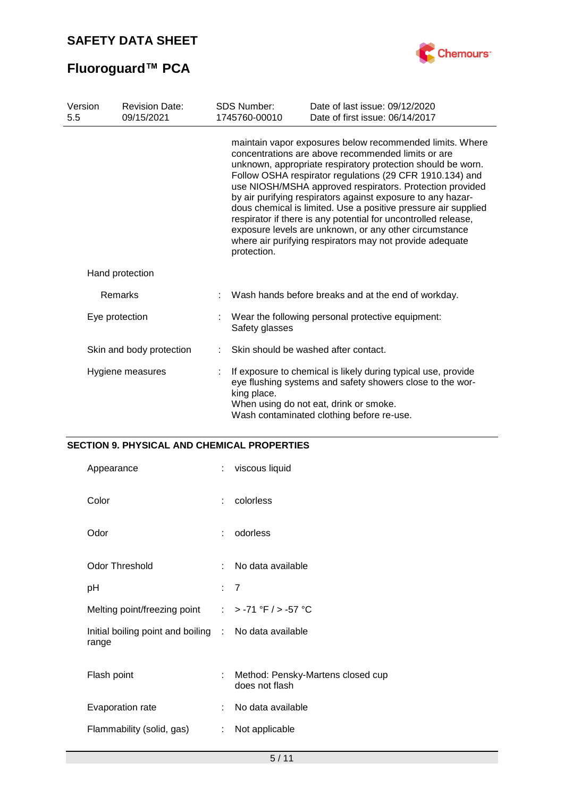

# **Fluoroguard™ PCA**

| Version<br>5.5 | <b>Revision Date:</b><br>09/15/2021 |             | <b>SDS Number:</b><br>1745760-00010 | Date of last issue: 09/12/2020<br>Date of first issue: 06/14/2017                                                                                                                                                                                                                                                                                                                                                                                                                                                                                                                                                              |
|----------------|-------------------------------------|-------------|-------------------------------------|--------------------------------------------------------------------------------------------------------------------------------------------------------------------------------------------------------------------------------------------------------------------------------------------------------------------------------------------------------------------------------------------------------------------------------------------------------------------------------------------------------------------------------------------------------------------------------------------------------------------------------|
|                |                                     | protection. |                                     | maintain vapor exposures below recommended limits. Where<br>concentrations are above recommended limits or are<br>unknown, appropriate respiratory protection should be worn.<br>Follow OSHA respirator regulations (29 CFR 1910.134) and<br>use NIOSH/MSHA approved respirators. Protection provided<br>by air purifying respirators against exposure to any hazar-<br>dous chemical is limited. Use a positive pressure air supplied<br>respirator if there is any potential for uncontrolled release,<br>exposure levels are unknown, or any other circumstance<br>where air purifying respirators may not provide adequate |
|                | Hand protection                     |             |                                     |                                                                                                                                                                                                                                                                                                                                                                                                                                                                                                                                                                                                                                |
|                | Remarks                             |             |                                     | Wash hands before breaks and at the end of workday.                                                                                                                                                                                                                                                                                                                                                                                                                                                                                                                                                                            |
|                | Eye protection                      |             | Safety glasses                      | Wear the following personal protective equipment:                                                                                                                                                                                                                                                                                                                                                                                                                                                                                                                                                                              |
|                | Skin and body protection            |             |                                     | Skin should be washed after contact.                                                                                                                                                                                                                                                                                                                                                                                                                                                                                                                                                                                           |
|                | Hygiene measures                    |             | king place.                         | If exposure to chemical is likely during typical use, provide<br>eye flushing systems and safety showers close to the wor-<br>When using do not eat, drink or smoke.<br>Wash contaminated clothing before re-use.                                                                                                                                                                                                                                                                                                                                                                                                              |

### **SECTION 9. PHYSICAL AND CHEMICAL PROPERTIES**

| Appearance                                                     | ÷ | viscous liquid                                      |
|----------------------------------------------------------------|---|-----------------------------------------------------|
| Color                                                          | ÷ | colorless                                           |
| Odor                                                           | ÷ | odorless                                            |
| <b>Odor Threshold</b>                                          | ÷ | No data available                                   |
| рH                                                             |   | $\overline{7}$                                      |
| Melting point/freezing point                                   |   | : > -71 °F / > -57 °C                               |
| Initial boiling point and boiling : No data available<br>range |   |                                                     |
| Flash point                                                    | ÷ | Method: Pensky-Martens closed cup<br>does not flash |
| Evaporation rate                                               | ÷ | No data available                                   |
| Flammability (solid, gas)                                      | ÷ | Not applicable                                      |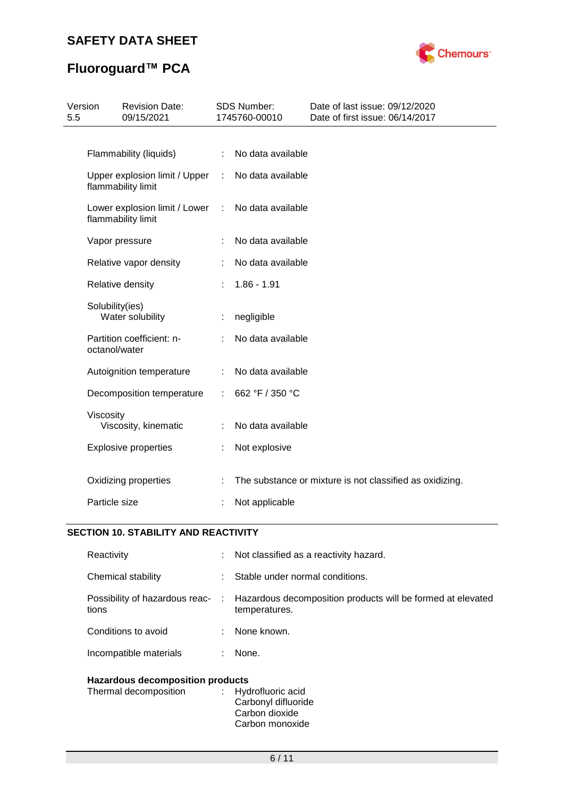

# **Fluoroguard™ PCA**

| Version<br>5.5 |                 | <b>Revision Date:</b><br>09/15/2021                 |   | SDS Number:<br>1745760-00010 | Date of last issue: 09/12/2020<br>Date of first issue: 06/14/2017 |
|----------------|-----------------|-----------------------------------------------------|---|------------------------------|-------------------------------------------------------------------|
|                |                 |                                                     |   |                              |                                                                   |
|                |                 | Flammability (liquids)                              | ÷ | No data available            |                                                                   |
|                |                 | Upper explosion limit / Upper<br>flammability limit | ÷ | No data available            |                                                                   |
|                |                 | Lower explosion limit / Lower<br>flammability limit | ÷ | No data available            |                                                                   |
|                |                 | Vapor pressure                                      |   | No data available            |                                                                   |
|                |                 | Relative vapor density                              |   | No data available            |                                                                   |
|                |                 | Relative density                                    |   | $1.86 - 1.91$                |                                                                   |
|                | Solubility(ies) | Water solubility                                    |   | negligible                   |                                                                   |
|                | octanol/water   | Partition coefficient: n-                           |   | No data available            |                                                                   |
|                |                 | Autoignition temperature                            |   | No data available            |                                                                   |
|                |                 | Decomposition temperature                           |   | 662 °F / 350 °C              |                                                                   |
|                | Viscosity       | Viscosity, kinematic                                |   | No data available            |                                                                   |
|                |                 | <b>Explosive properties</b>                         |   | Not explosive                |                                                                   |
|                |                 | Oxidizing properties                                |   |                              | The substance or mixture is not classified as oxidizing.          |
|                | Particle size   |                                                     |   | Not applicable               |                                                                   |

## **SECTION 10. STABILITY AND REACTIVITY**

| Reactivity                              |    | : Not classified as a reactivity hazard.                                     |
|-----------------------------------------|----|------------------------------------------------------------------------------|
| Chemical stability                      |    | Stable under normal conditions.                                              |
| Possibility of hazardous reac-<br>tions | ÷. | Hazardous decomposition products will be formed at elevated<br>temperatures. |
| Conditions to avoid                     | ÷  | None known.                                                                  |
| Incompatible materials                  |    | None.                                                                        |
|                                         |    |                                                                              |

## **Hazardous decomposition products**

| Thermal decomposition | : Hydrofluoric acid<br>Carbonyl difluoride |
|-----------------------|--------------------------------------------|
|                       | Carbon dioxide                             |
|                       | Carbon monoxide                            |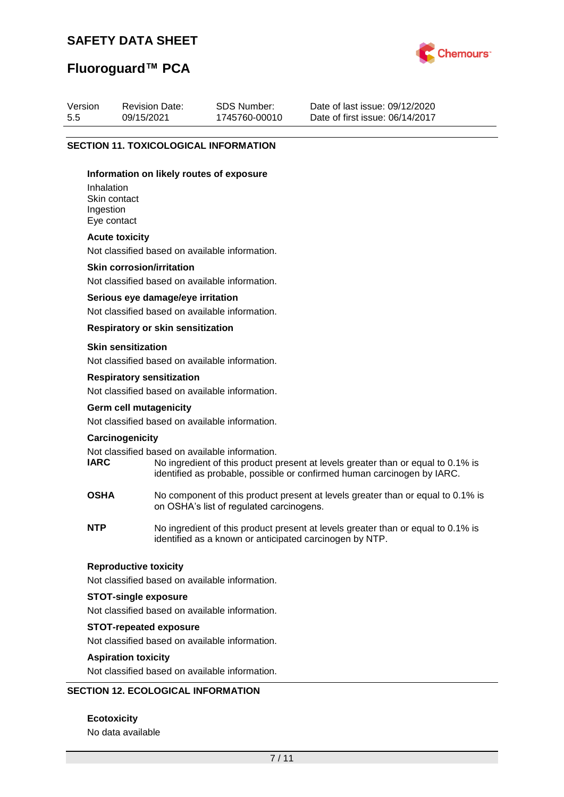

## **Fluoroguard™ PCA**

| Version | <b>Revision Date:</b> | SDS Number:   | Date of last issue: 09/12/2020  |
|---------|-----------------------|---------------|---------------------------------|
| 5.5     | 09/15/2021            | 1745760-00010 | Date of first issue: 06/14/2017 |

#### **SECTION 11. TOXICOLOGICAL INFORMATION**

#### **Information on likely routes of exposure**

Inhalation Skin contact Ingestion Eye contact

#### **Acute toxicity**

Not classified based on available information.

#### **Skin corrosion/irritation**

Not classified based on available information.

#### **Serious eye damage/eye irritation**

Not classified based on available information.

#### **Respiratory or skin sensitization**

#### **Skin sensitization**

Not classified based on available information.

#### **Respiratory sensitization**

Not classified based on available information.

#### **Germ cell mutagenicity**

Not classified based on available information.

#### **Carcinogenicity**

Not classified based on available information.<br> **IARC** No ingredient of this product to

- No ingredient of this product present at levels greater than or equal to 0.1% is identified as probable, possible or confirmed human carcinogen by IARC.
- **OSHA** No component of this product present at levels greater than or equal to 0.1% is on OSHA's list of regulated carcinogens.
- **NTP** No ingredient of this product present at levels greater than or equal to 0.1% is identified as a known or anticipated carcinogen by NTP.

#### **Reproductive toxicity**

Not classified based on available information.

#### **STOT-single exposure**

Not classified based on available information.

#### **STOT-repeated exposure**

Not classified based on available information.

#### **Aspiration toxicity**

Not classified based on available information.

#### **SECTION 12. ECOLOGICAL INFORMATION**

#### **Ecotoxicity**

No data available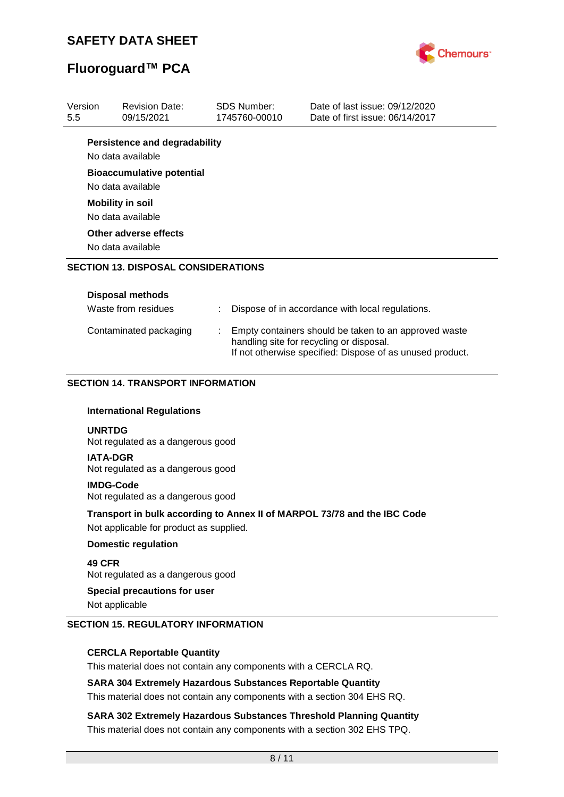

# **Fluoroguard™ PCA**

| Version<br>5.5 | <b>Revision Date:</b><br>09/15/2021                                          |   | <b>SDS Number:</b><br>1745760-00010 | Date of last issue: 09/12/2020<br>Date of first issue: 06/14/2017                                                                                              |
|----------------|------------------------------------------------------------------------------|---|-------------------------------------|----------------------------------------------------------------------------------------------------------------------------------------------------------------|
|                | <b>Persistence and degradability</b><br>No data available                    |   |                                     |                                                                                                                                                                |
|                | <b>Bioaccumulative potential</b><br>No data available                        |   |                                     |                                                                                                                                                                |
|                | <b>Mobility in soil</b><br>No data available                                 |   |                                     |                                                                                                                                                                |
|                | Other adverse effects<br>No data available                                   |   |                                     |                                                                                                                                                                |
|                | <b>SECTION 13. DISPOSAL CONSIDERATIONS</b>                                   |   |                                     |                                                                                                                                                                |
|                | <b>Disposal methods</b>                                                      |   |                                     |                                                                                                                                                                |
|                | Waste from residues                                                          | ÷ |                                     | Dispose of in accordance with local regulations.                                                                                                               |
|                | Contaminated packaging                                                       |   |                                     | Empty containers should be taken to an approved waste<br>handling site for recycling or disposal.<br>If not otherwise specified: Dispose of as unused product. |
|                | <b>SECTION 14. TRANSPORT INFORMATION</b><br><b>International Regulations</b> |   |                                     |                                                                                                                                                                |
| <b>UNRTDG</b>  | Not regulated as a dangerous good                                            |   |                                     |                                                                                                                                                                |
|                | <b>IATA-DGR</b><br>Not regulated as a dangerous good                         |   |                                     |                                                                                                                                                                |
|                | <b>IMDG-Code</b><br>Not regulated as a dangerous good                        |   |                                     |                                                                                                                                                                |
|                | Not applicable for product as supplied.                                      |   |                                     | Transport in bulk according to Annex II of MARPOL 73/78 and the IBC Code                                                                                       |
|                | <b>Domestic regulation</b>                                                   |   |                                     |                                                                                                                                                                |
| 49 CFR         | Not regulated as a dangerous good                                            |   |                                     |                                                                                                                                                                |
|                | Special precautions for user<br>Not applicable                               |   |                                     |                                                                                                                                                                |
|                | <b>SECTION 15. REGULATORY INFORMATION</b>                                    |   |                                     |                                                                                                                                                                |
|                | <b>CERCLA Reportable Quantity</b>                                            |   |                                     |                                                                                                                                                                |
|                | This material does not contain any components with a CERCLA RQ.              |   |                                     |                                                                                                                                                                |
|                | <b>SARA 304 Extremely Hazardous Substances Reportable Quantity</b>           |   |                                     | This material does not contain any components with a section 304 EHS RQ.                                                                                       |

**SARA 302 Extremely Hazardous Substances Threshold Planning Quantity** This material does not contain any components with a section 302 EHS TPQ.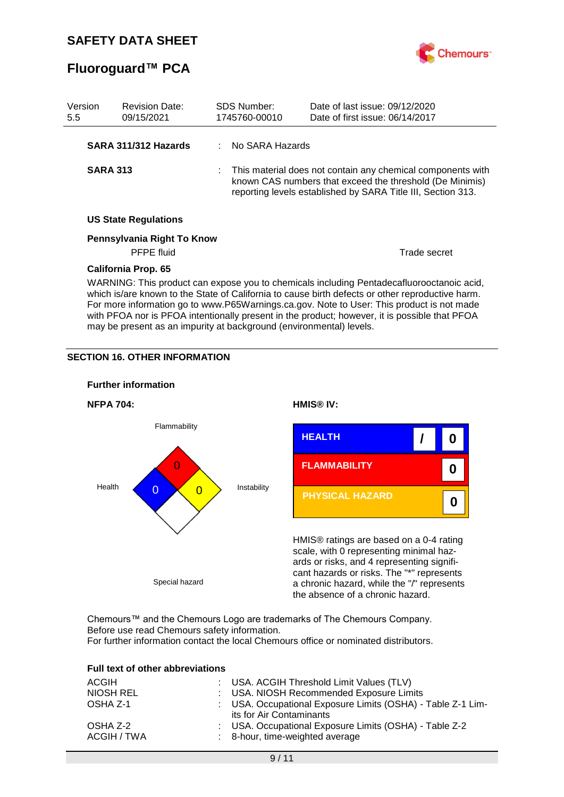

## **Fluoroguard™ PCA**

| Version<br>5.5                                                                                                                                                                                                                                                                                                                                                                                                            | <b>Revision Date:</b><br>09/15/2021             |  | <b>SDS Number:</b><br>1745760-00010 | Date of last issue: 09/12/2020<br>Date of first issue: 06/14/2017                                                                                                                         |
|---------------------------------------------------------------------------------------------------------------------------------------------------------------------------------------------------------------------------------------------------------------------------------------------------------------------------------------------------------------------------------------------------------------------------|-------------------------------------------------|--|-------------------------------------|-------------------------------------------------------------------------------------------------------------------------------------------------------------------------------------------|
|                                                                                                                                                                                                                                                                                                                                                                                                                           | SARA 311/312 Hazards                            |  | : No SARA Hazards                   |                                                                                                                                                                                           |
| <b>SARA 313</b>                                                                                                                                                                                                                                                                                                                                                                                                           |                                                 |  |                                     | : This material does not contain any chemical components with<br>known CAS numbers that exceed the threshold (De Minimis)<br>reporting levels established by SARA Title III, Section 313. |
|                                                                                                                                                                                                                                                                                                                                                                                                                           | <b>US State Regulations</b>                     |  |                                     |                                                                                                                                                                                           |
|                                                                                                                                                                                                                                                                                                                                                                                                                           | Pennsylvania Right To Know<br><b>PFPE</b> fluid |  |                                     | Trade secret                                                                                                                                                                              |
| <b>California Prop. 65</b><br>WARNING: This product can expose you to chemicals including Pentadecafluorooctanoic acid,<br>which is/are known to the State of California to cause birth defects or other reproductive harm.<br>For more information go to www.P65Warnings.ca.gov. Note to User: This product is not made<br>with PFOA nor is PFOA intentionally present in the product; however, it is possible that PFOA |                                                 |  |                                     |                                                                                                                                                                                           |

may be present as an impurity at background (environmental) levels.

#### **SECTION 16. OTHER INFORMATION**



Chemours™ and the Chemours Logo are trademarks of The Chemours Company. Before use read Chemours safety information. For further information contact the local Chemours office or nominated distributors.

| <b>Full text of other abbreviations</b> |                                                                                         |
|-----------------------------------------|-----------------------------------------------------------------------------------------|
| ACGIH                                   | : USA. ACGIH Threshold Limit Values (TLV)                                               |
| NIOSH REL                               | : USA. NIOSH Recommended Exposure Limits                                                |
| OSHA Z-1                                | : USA. Occupational Exposure Limits (OSHA) - Table Z-1 Lim-<br>its for Air Contaminants |
| OSHA Z-2                                | : USA. Occupational Exposure Limits (OSHA) - Table Z-2                                  |
| ACGIH / TWA                             | : 8-hour, time-weighted average                                                         |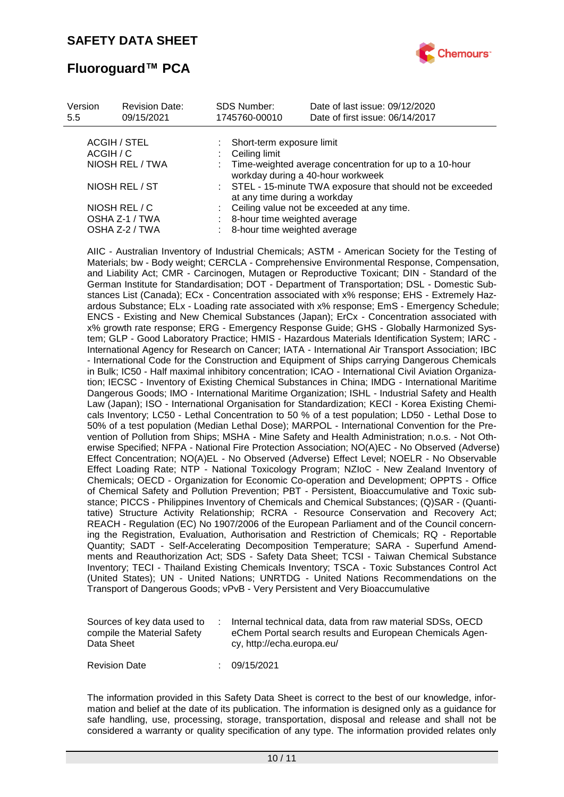

## **Fluoroguard™ PCA**

| Version<br>5.5 | <b>Revision Date:</b><br>09/15/2021 | <b>SDS Number:</b><br>1745760-00010 | Date of last issue: 09/12/2020<br>Date of first issue: 06/14/2017                            |
|----------------|-------------------------------------|-------------------------------------|----------------------------------------------------------------------------------------------|
|                | ACGIH / STEL                        | Short-term exposure limit           |                                                                                              |
| ACGIH / C      |                                     | Ceiling limit                       |                                                                                              |
|                | NIOSH REL / TWA                     |                                     | Time-weighted average concentration for up to a 10-hour<br>workday during a 40-hour workweek |
| NIOSH REL / ST |                                     |                                     | : STEL - 15-minute TWA exposure that should not be exceeded<br>at any time during a workday  |
|                | NIOSH REL / C                       |                                     | Ceiling value not be exceeded at any time.                                                   |
|                | OSHA Z-1 / TWA                      |                                     | 8-hour time weighted average                                                                 |
|                | OSHA Z-2 / TWA                      |                                     | 8-hour time weighted average                                                                 |

AIIC - Australian Inventory of Industrial Chemicals; ASTM - American Society for the Testing of Materials; bw - Body weight; CERCLA - Comprehensive Environmental Response, Compensation, and Liability Act; CMR - Carcinogen, Mutagen or Reproductive Toxicant; DIN - Standard of the German Institute for Standardisation; DOT - Department of Transportation; DSL - Domestic Substances List (Canada); ECx - Concentration associated with x% response; EHS - Extremely Hazardous Substance; ELx - Loading rate associated with x% response; EmS - Emergency Schedule; ENCS - Existing and New Chemical Substances (Japan); ErCx - Concentration associated with x% growth rate response; ERG - Emergency Response Guide; GHS - Globally Harmonized System; GLP - Good Laboratory Practice; HMIS - Hazardous Materials Identification System; IARC - International Agency for Research on Cancer; IATA - International Air Transport Association; IBC - International Code for the Construction and Equipment of Ships carrying Dangerous Chemicals in Bulk; IC50 - Half maximal inhibitory concentration; ICAO - International Civil Aviation Organization; IECSC - Inventory of Existing Chemical Substances in China; IMDG - International Maritime Dangerous Goods; IMO - International Maritime Organization; ISHL - Industrial Safety and Health Law (Japan); ISO - International Organisation for Standardization; KECI - Korea Existing Chemicals Inventory; LC50 - Lethal Concentration to 50 % of a test population; LD50 - Lethal Dose to 50% of a test population (Median Lethal Dose); MARPOL - International Convention for the Prevention of Pollution from Ships; MSHA - Mine Safety and Health Administration; n.o.s. - Not Otherwise Specified; NFPA - National Fire Protection Association; NO(A)EC - No Observed (Adverse) Effect Concentration; NO(A)EL - No Observed (Adverse) Effect Level; NOELR - No Observable Effect Loading Rate; NTP - National Toxicology Program; NZIoC - New Zealand Inventory of Chemicals; OECD - Organization for Economic Co-operation and Development; OPPTS - Office of Chemical Safety and Pollution Prevention; PBT - Persistent, Bioaccumulative and Toxic substance; PICCS - Philippines Inventory of Chemicals and Chemical Substances; (Q)SAR - (Quantitative) Structure Activity Relationship; RCRA - Resource Conservation and Recovery Act; REACH - Regulation (EC) No 1907/2006 of the European Parliament and of the Council concerning the Registration, Evaluation, Authorisation and Restriction of Chemicals; RQ - Reportable Quantity; SADT - Self-Accelerating Decomposition Temperature; SARA - Superfund Amendments and Reauthorization Act; SDS - Safety Data Sheet; TCSI - Taiwan Chemical Substance Inventory; TECI - Thailand Existing Chemicals Inventory; TSCA - Toxic Substances Control Act (United States); UN - United Nations; UNRTDG - United Nations Recommendations on the Transport of Dangerous Goods; vPvB - Very Persistent and Very Bioaccumulative

| Sources of key data used to<br>compile the Material Safety<br>Data Sheet | Internal technical data, data from raw material SDSs, OECD<br>eChem Portal search results and European Chemicals Agen-<br>cy, http://echa.europa.eu/ |
|--------------------------------------------------------------------------|------------------------------------------------------------------------------------------------------------------------------------------------------|
| <b>Revision Date</b>                                                     | 09/15/2021                                                                                                                                           |

The information provided in this Safety Data Sheet is correct to the best of our knowledge, information and belief at the date of its publication. The information is designed only as a guidance for safe handling, use, processing, storage, transportation, disposal and release and shall not be considered a warranty or quality specification of any type. The information provided relates only